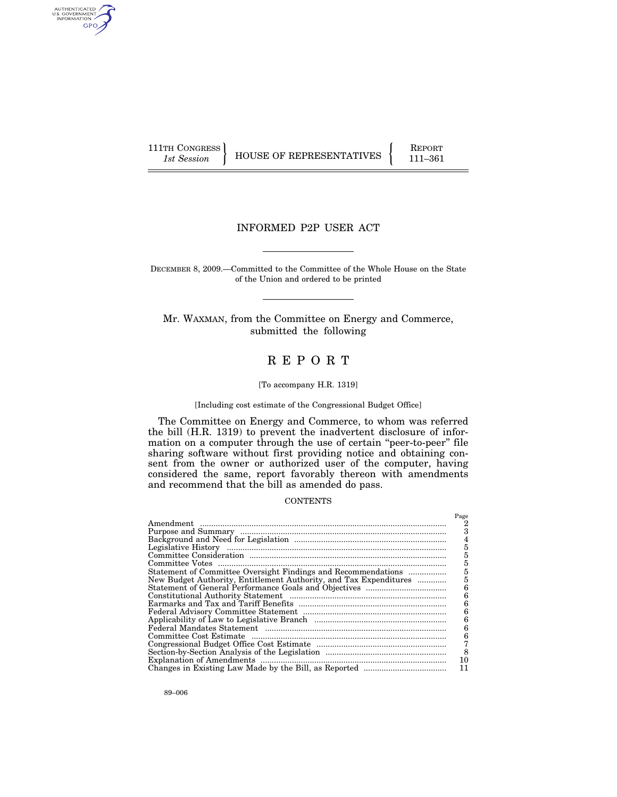AUTHENTICATED<br>U.S. GOVERNMENT<br>INFORMATION GPO

111TH CONGRESS HOUSE OF REPRESENTATIVES FEPORT 111-361

# INFORMED P2P USER ACT

DECEMBER 8, 2009.—Committed to the Committee of the Whole House on the State of the Union and ordered to be printed

Mr. WAXMAN, from the Committee on Energy and Commerce, submitted the following

# R E P O R T

### [To accompany H.R. 1319]

# [Including cost estimate of the Congressional Budget Office]

The Committee on Energy and Commerce, to whom was referred the bill (H.R. 1319) to prevent the inadvertent disclosure of information on a computer through the use of certain "peer-to-peer" file sharing software without first providing notice and obtaining consent from the owner or authorized user of the computer, having considered the same, report favorably thereon with amendments and recommend that the bill as amended do pass.

# **CONTENTS**

|                                                                   | Page |
|-------------------------------------------------------------------|------|
|                                                                   |      |
|                                                                   | з    |
|                                                                   | 4    |
|                                                                   | 5    |
|                                                                   | 5    |
|                                                                   | 5    |
| Statement of Committee Oversight Findings and Recommendations     | 5    |
| New Budget Authority, Entitlement Authority, and Tax Expenditures | 5    |
|                                                                   | 6    |
|                                                                   | 6    |
|                                                                   | 6    |
|                                                                   | 6    |
|                                                                   | 6    |
|                                                                   | 6    |
|                                                                   | 6    |
|                                                                   |      |
|                                                                   | 8    |
|                                                                   |      |
|                                                                   | 11   |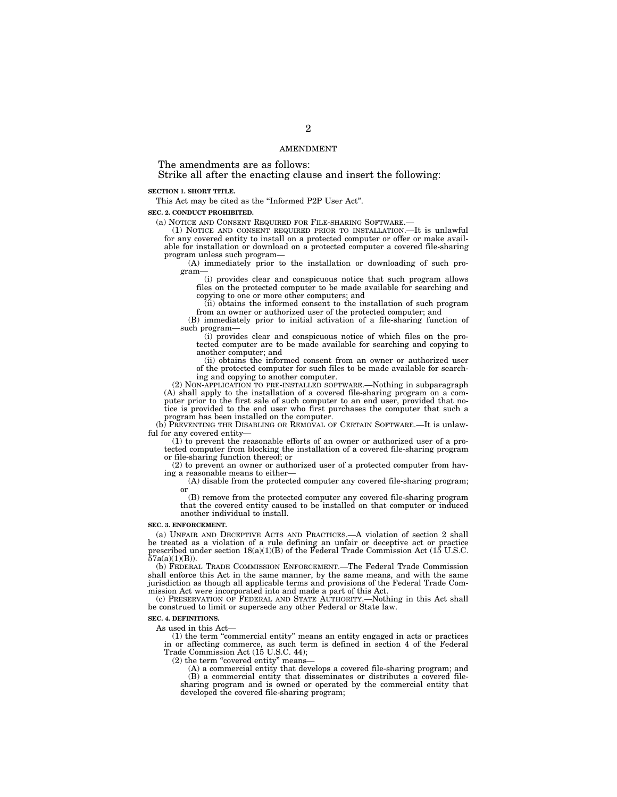### AMENDMENT

The amendments are as follows:

Strike all after the enacting clause and insert the following:

### **SECTION 1. SHORT TITLE.**

This Act may be cited as the ''Informed P2P User Act''.

### **SEC. 2. CONDUCT PROHIBITED.**

(a) NOTICE AND CONSENT REQUIRED FOR FILE-SHARING SOFTWARE.—

(1) NOTICE AND CONSENT REQUIRED PRIOR TO INSTALLATION.—It is unlawful for any covered entity to install on a protected computer or offer or make available for installation or download on a protected computer a covered file-sharing program unless such program—

(A) immediately prior to the installation or downloading of such program—

(i) provides clear and conspicuous notice that such program allows files on the protected computer to be made available for searching and copying to one or more other computers; and

(ii) obtains the informed consent to the installation of such program from an owner or authorized user of the protected computer; and

(B) immediately prior to initial activation of a file-sharing function of such program—

(i) provides clear and conspicuous notice of which files on the protected computer are to be made available for searching and copying to another computer; and

(ii) obtains the informed consent from an owner or authorized user of the protected computer for such files to be made available for searching and copying to another computer.

(2) NON-APPLICATION TO PRE-INSTALLED SOFTWARE.—Nothing in subparagraph (A) shall apply to the installation of a covered file-sharing program on a computer prior to the first sale of such computer to an end user, provided that notice is provided to the end user who first purchases the computer that such a program has been installed on the computer.

(b) PREVENTING THE DISABLING OR REMOVAL OF CERTAIN SOFTWARE.—It is unlawful for any covered entity-

(1) to prevent the reasonable efforts of an owner or authorized user of a protected computer from blocking the installation of a covered file-sharing program or file-sharing function thereof; or

(2) to prevent an owner or authorized user of a protected computer from having a reasonable means to either—

(A) disable from the protected computer any covered file-sharing program; or

(B) remove from the protected computer any covered file-sharing program that the covered entity caused to be installed on that computer or induced another individual to install.

#### **SEC. 3. ENFORCEMENT.**

(a) UNFAIR AND DECEPTIVE ACTS AND PRACTICES.—A violation of section 2 shall be treated as a violation of a rule defining an unfair or deceptive act or practice prescribed under section  $18(a)(1)(B)$  of the Federal Trade Commission Act (15 U.S.C.  $57a(a)(1)(B)$ 

(b) FEDERAL TRADE COMMISSION ENFORCEMENT.—The Federal Trade Commission shall enforce this Act in the same manner, by the same means, and with the same jurisdiction as though all applicable terms and provisions of the Federal Trade Commission Act were incorporated into and made a part of this Act.

(c) PRESERVATION OF FEDERAL AND STATE AUTHORITY.—Nothing in this Act shall be construed to limit or supersede any other Federal or State law.

### **SEC. 4. DEFINITIONS.**

As used in this Act—

(1) the term ''commercial entity'' means an entity engaged in acts or practices in or affecting commerce, as such term is defined in section 4 of the Federal Trade Commission Act (15 U.S.C. 44);

(2) the term "covered entity" means—<br>(A) a commercial entity that develops a covered file-sharing program; and (B) a commercial entity that disseminates or distributes a covered filesharing program and is owned or operated by the commercial entity that developed the covered file-sharing program;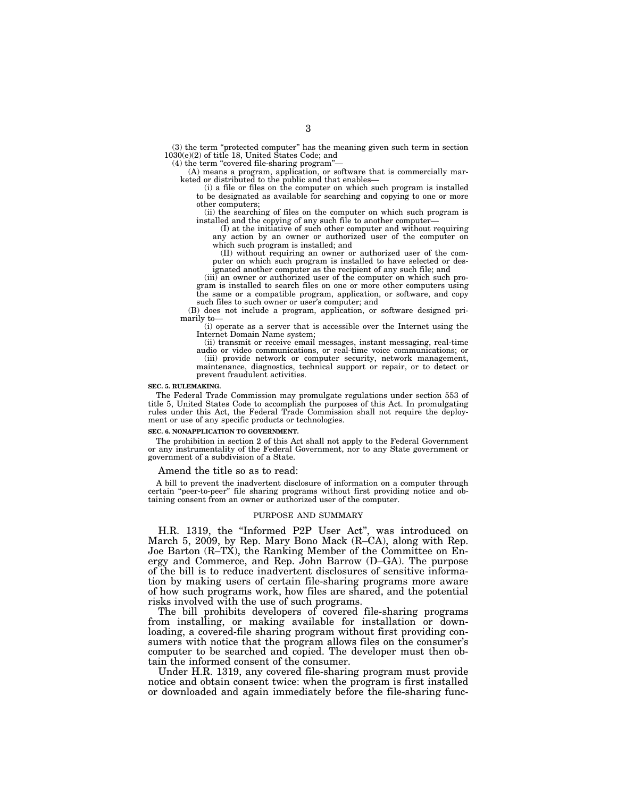(3) the term "protected computer" has the meaning given such term in section 1030(e)(2) of title 18, United States Code; and

(4) the term ''covered file-sharing program''—

(A) means a program, application, or software that is commercially marketed or distributed to the public and that enables—

(i) a file or files on the computer on which such program is installed to be designated as available for searching and copying to one or more other computers;

(ii) the searching of files on the computer on which such program is installed and the copying of any such file to another computer—

(I) at the initiative of such other computer and without requiring any action by an owner or authorized user of the computer on which such program is installed; and

(II) without requiring an owner or authorized user of the computer on which such program is installed to have selected or designated another computer as the recipient of any such file; and

(iii) an owner or authorized user of the computer on which such program is installed to search files on one or more other computers using the same or a compatible program, application, or software, and copy such files to such owner or user's computer; and

(B) does not include a program, application, or software designed primarily to—

(i) operate as a server that is accessible over the Internet using the Internet Domain Name system;

(ii) transmit or receive email messages, instant messaging, real-time audio or video communications, or real-time voice communications; or

(iii) provide network or computer security, network management, maintenance, diagnostics, technical support or repair, or to detect or prevent fraudulent activities.

### **SEC. 5. RULEMAKING.**

The Federal Trade Commission may promulgate regulations under section 553 of title 5, United States Code to accomplish the purposes of this Act. In promulgating rules under this Act, the Federal Trade Commission shall not require the deployment or use of any specific products or technologies.

#### **SEC. 6. NONAPPLICATION TO GOVERNMENT.**

The prohibition in section 2 of this Act shall not apply to the Federal Government or any instrumentality of the Federal Government, nor to any State government or government of a subdivision of a State.

### Amend the title so as to read:

A bill to prevent the inadvertent disclosure of information on a computer through certain ''peer-to-peer'' file sharing programs without first providing notice and obtaining consent from an owner or authorized user of the computer.

### PURPOSE AND SUMMARY

H.R. 1319, the ''Informed P2P User Act'', was introduced on March 5, 2009, by Rep. Mary Bono Mack (R–CA), along with Rep. Joe Barton (R–TX), the Ranking Member of the Committee on Energy and Commerce, and Rep. John Barrow (D–GA). The purpose of the bill is to reduce inadvertent disclosures of sensitive information by making users of certain file-sharing programs more aware of how such programs work, how files are shared, and the potential risks involved with the use of such programs.

The bill prohibits developers of covered file-sharing programs from installing, or making available for installation or downloading, a covered-file sharing program without first providing consumers with notice that the program allows files on the consumer's computer to be searched and copied. The developer must then obtain the informed consent of the consumer.

Under H.R. 1319, any covered file-sharing program must provide notice and obtain consent twice: when the program is first installed or downloaded and again immediately before the file-sharing func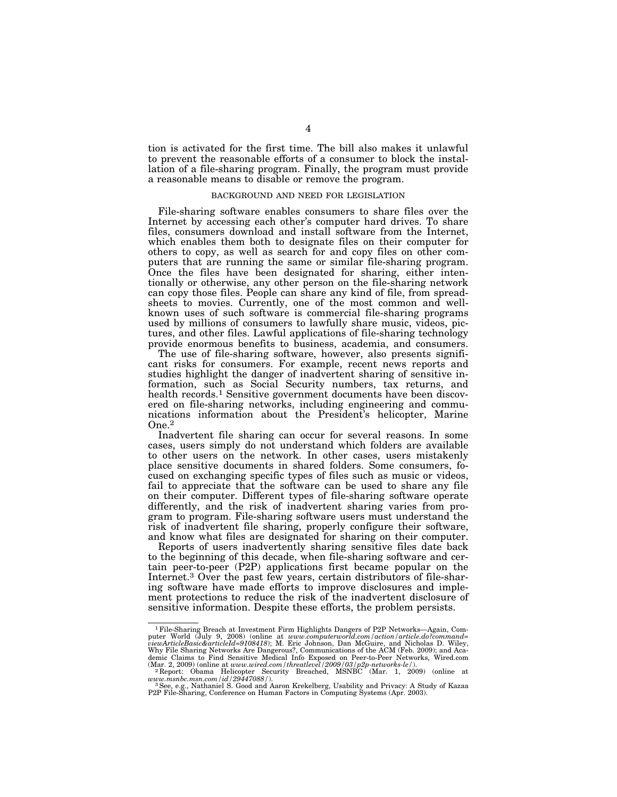tion is activated for the first time. The bill also makes it unlawful to prevent the reasonable efforts of a consumer to block the installation of a file-sharing program. Finally, the program must provide a reasonable means to disable or remove the program.

### BACKGROUND AND NEED FOR LEGISLATION

File-sharing software enables consumers to share files over the Internet by accessing each other's computer hard drives. To share files, consumers download and install software from the Internet, which enables them both to designate files on their computer for others to copy, as well as search for and copy files on other computers that are running the same or similar file-sharing program. Once the files have been designated for sharing, either intentionally or otherwise, any other person on the file-sharing network can copy those files. People can share any kind of file, from spreadsheets to movies. Currently, one of the most common and wellknown uses of such software is commercial file-sharing programs used by millions of consumers to lawfully share music, videos, pictures, and other files. Lawful applications of file-sharing technology provide enormous benefits to business, academia, and consumers.

The use of file-sharing software, however, also presents significant risks for consumers. For example, recent news reports and studies highlight the danger of inadvertent sharing of sensitive information, such as Social Security numbers, tax returns, and health records.1 Sensitive government documents have been discovered on file-sharing networks, including engineering and communications information about the President's helicopter, Marine One.2

Inadvertent file sharing can occur for several reasons. In some cases, users simply do not understand which folders are available to other users on the network. In other cases, users mistakenly place sensitive documents in shared folders. Some consumers, focused on exchanging specific types of files such as music or videos, fail to appreciate that the software can be used to share any file on their computer. Different types of file-sharing software operate differently, and the risk of inadvertent sharing varies from program to program. File-sharing software users must understand the risk of inadvertent file sharing, properly configure their software, and know what files are designated for sharing on their computer.

Reports of users inadvertently sharing sensitive files date back to the beginning of this decade, when file-sharing software and certain peer-to-peer (P2P) applications first became popular on the Internet.3 Over the past few years, certain distributors of file-sharing software have made efforts to improve disclosures and implement protections to reduce the risk of the inadvertent disclosure of sensitive information. Despite these efforts, the problem persists.

<sup>1</sup>File-Sharing Breach at Investment Firm Highlights Dangers of P2P Networks—Again, Computer World (July 9, 2008) (online at *www.computerworld.com/action/article.do?command=*<br>viewArticleBasic&articleId=9108418); M. Eric Johnson, Dan McGuire, and Nicholas D. Wiley,<br>Why File Sharing Networks Are Dangerous?, C demic Claims to Find Sensitive Medical Info Exposed on Peer-to-Peer Networks, Wired.com<br>(Mar. 2, 2009) (online at www.wired.com/threatlevel/2009/03/p2p-networks-le/).<br>2 Report: Obama Helicopter Security Breached, MSNBC (Ma

*www.msnbc.msn.com/id/29447088/*).<br><sup>3</sup> See, e.g., Nathaniel S. Good and Aaron Krekelberg, Usability and Privacy: A Study of Kazaa <br>P2P File-Sharing, Conference on Human Factors in Computing Systems (Apr. 2003).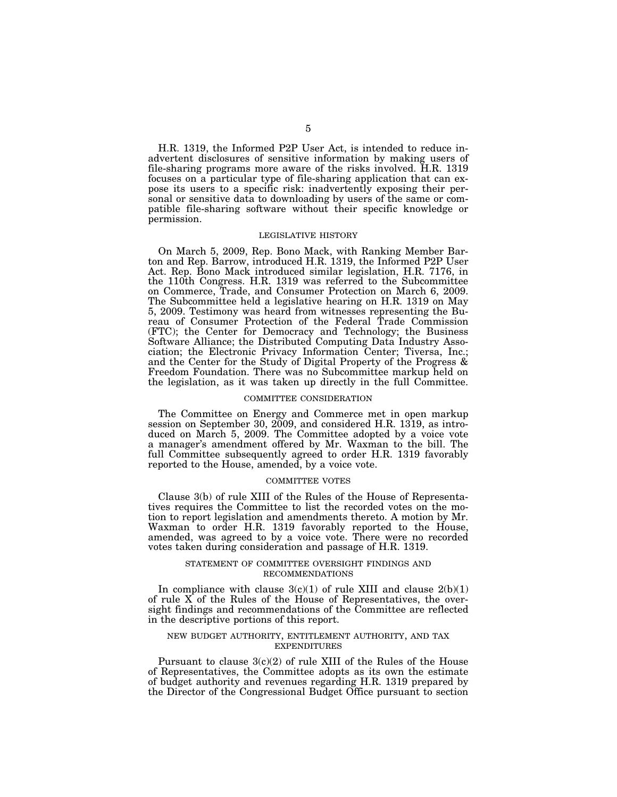H.R. 1319, the Informed P2P User Act, is intended to reduce inadvertent disclosures of sensitive information by making users of file-sharing programs more aware of the risks involved. H.R. 1319 focuses on a particular type of file-sharing application that can expose its users to a specific risk: inadvertently exposing their personal or sensitive data to downloading by users of the same or compatible file-sharing software without their specific knowledge or permission.

### LEGISLATIVE HISTORY

On March 5, 2009, Rep. Bono Mack, with Ranking Member Barton and Rep. Barrow, introduced H.R. 1319, the Informed P2P User Act. Rep. Bono Mack introduced similar legislation, H.R. 7176, in the 110th Congress. H.R. 1319 was referred to the Subcommittee on Commerce, Trade, and Consumer Protection on March 6, 2009. The Subcommittee held a legislative hearing on H.R. 1319 on May 5, 2009. Testimony was heard from witnesses representing the Bureau of Consumer Protection of the Federal Trade Commission (FTC); the Center for Democracy and Technology; the Business Software Alliance; the Distributed Computing Data Industry Association; the Electronic Privacy Information Center; Tiversa, Inc.; and the Center for the Study of Digital Property of the Progress & Freedom Foundation. There was no Subcommittee markup held on the legislation, as it was taken up directly in the full Committee.

### COMMITTEE CONSIDERATION

The Committee on Energy and Commerce met in open markup session on September 30, 2009, and considered H.R. 1319, as introduced on March 5, 2009. The Committee adopted by a voice vote a manager's amendment offered by Mr. Waxman to the bill. The full Committee subsequently agreed to order H.R. 1319 favorably reported to the House, amended, by a voice vote.

# COMMITTEE VOTES

Clause 3(b) of rule XIII of the Rules of the House of Representatives requires the Committee to list the recorded votes on the motion to report legislation and amendments thereto. A motion by Mr. Waxman to order H.R. 1319 favorably reported to the House, amended, was agreed to by a voice vote. There were no recorded votes taken during consideration and passage of H.R. 1319.

### STATEMENT OF COMMITTEE OVERSIGHT FINDINGS AND RECOMMENDATIONS

In compliance with clause  $3(c)(1)$  of rule XIII and clause  $2(b)(1)$ of rule X of the Rules of the House of Representatives, the oversight findings and recommendations of the Committee are reflected in the descriptive portions of this report.

# NEW BUDGET AUTHORITY, ENTITLEMENT AUTHORITY, AND TAX EXPENDITURES

Pursuant to clause  $3(c)(2)$  of rule XIII of the Rules of the House of Representatives, the Committee adopts as its own the estimate of budget authority and revenues regarding H.R. 1319 prepared by the Director of the Congressional Budget Office pursuant to section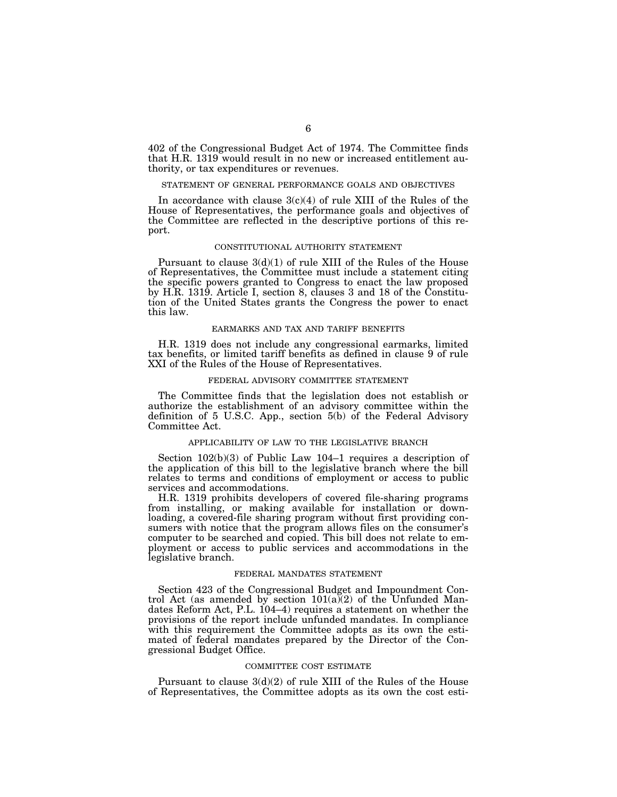402 of the Congressional Budget Act of 1974. The Committee finds that H.R. 1319 would result in no new or increased entitlement authority, or tax expenditures or revenues.

# STATEMENT OF GENERAL PERFORMANCE GOALS AND OBJECTIVES

In accordance with clause  $3(c)(4)$  of rule XIII of the Rules of the House of Representatives, the performance goals and objectives of the Committee are reflected in the descriptive portions of this report.

### CONSTITUTIONAL AUTHORITY STATEMENT

Pursuant to clause  $3(d)(1)$  of rule XIII of the Rules of the House of Representatives, the Committee must include a statement citing the specific powers granted to Congress to enact the law proposed by H.R. 1319. Article I, section 8, clauses 3 and 18 of the Constitution of the United States grants the Congress the power to enact this law.

### EARMARKS AND TAX AND TARIFF BENEFITS

H.R. 1319 does not include any congressional earmarks, limited tax benefits, or limited tariff benefits as defined in clause 9 of rule XXI of the Rules of the House of Representatives.

# FEDERAL ADVISORY COMMITTEE STATEMENT

The Committee finds that the legislation does not establish or authorize the establishment of an advisory committee within the definition of 5 U.S.C. App., section 5(b) of the Federal Advisory Committee Act.

# APPLICABILITY OF LAW TO THE LEGISLATIVE BRANCH

Section 102(b)(3) of Public Law 104–1 requires a description of the application of this bill to the legislative branch where the bill relates to terms and conditions of employment or access to public services and accommodations.

H.R. 1319 prohibits developers of covered file-sharing programs from installing, or making available for installation or downloading, a covered-file sharing program without first providing consumers with notice that the program allows files on the consumer's computer to be searched and copied. This bill does not relate to employment or access to public services and accommodations in the legislative branch.

# FEDERAL MANDATES STATEMENT

Section 423 of the Congressional Budget and Impoundment Control Act (as amended by section 101(a)(2) of the Unfunded Mandates Reform Act, P.L. 104–4) requires a statement on whether the provisions of the report include unfunded mandates. In compliance with this requirement the Committee adopts as its own the estimated of federal mandates prepared by the Director of the Congressional Budget Office.

### COMMITTEE COST ESTIMATE

Pursuant to clause  $3(d)(2)$  of rule XIII of the Rules of the House of Representatives, the Committee adopts as its own the cost esti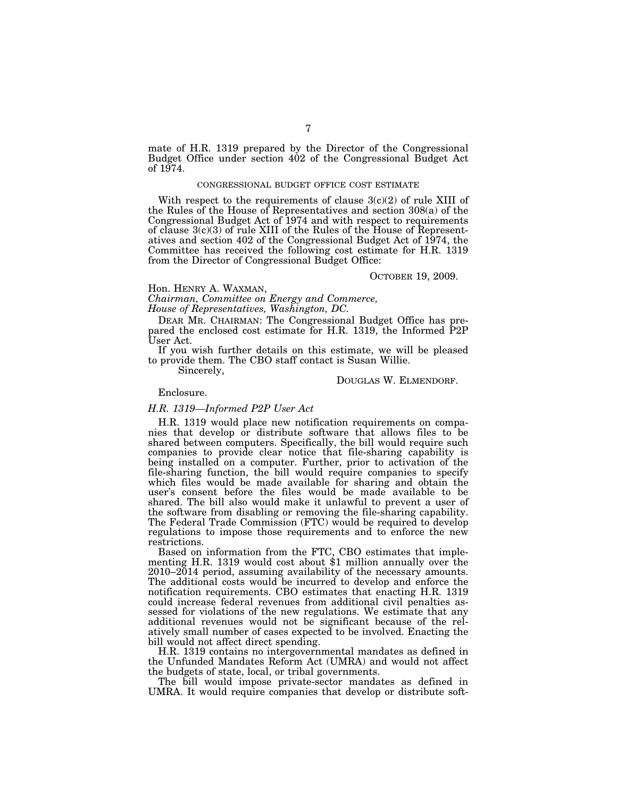mate of H.R. 1319 prepared by the Director of the Congressional Budget Office under section 402 of the Congressional Budget Act of 1974.

### CONGRESSIONAL BUDGET OFFICE COST ESTIMATE

With respect to the requirements of clause  $3(c)(2)$  of rule XIII of the Rules of the House of Representatives and section 308(a) of the Congressional Budget Act of 1974 and with respect to requirements of clause  $3(c)(3)$  of rule XIII of the Rules of the House of Representatives and section 402 of the Congressional Budget Act of 1974, the Committee has received the following cost estimate for H.R. 1319 from the Director of Congressional Budget Office:

# OCTOBER 19, 2009.

Hon. HENRY A. WAXMAN, *Chairman, Committee on Energy and Commerce,* 

*House of Representatives, Washington, DC.* 

DEAR MR. CHAIRMAN: The Congressional Budget Office has prepared the enclosed cost estimate for H.R. 1319, the Informed P2P User Act.

If you wish further details on this estimate, we will be pleased to provide them. The CBO staff contact is Susan Willie.

Sincerely,

# DOUGLAS W. ELMENDORF.

# Enclosure.

# *H.R. 1319—Informed P2P User Act*

H.R. 1319 would place new notification requirements on companies that develop or distribute software that allows files to be shared between computers. Specifically, the bill would require such companies to provide clear notice that file-sharing capability is being installed on a computer. Further, prior to activation of the file-sharing function, the bill would require companies to specify which files would be made available for sharing and obtain the user's consent before the files would be made available to be shared. The bill also would make it unlawful to prevent a user of the software from disabling or removing the file-sharing capability. The Federal Trade Commission (FTC) would be required to develop regulations to impose those requirements and to enforce the new restrictions.

Based on information from the FTC, CBO estimates that imple- menting H.R. 1319 would cost about \$1 million annually over the  $2010-2014$  period, assuming availability of the necessary amounts. The additional costs would be incurred to develop and enforce the notification requirements. CBO estimates that enacting H.R. 1319 could increase federal revenues from additional civil penalties assessed for violations of the new regulations. We estimate that any additional revenues would not be significant because of the relatively small number of cases expected to be involved. Enacting the bill would not affect direct spending.

H.R. 1319 contains no intergovernmental mandates as defined in the Unfunded Mandates Reform Act (UMRA) and would not affect the budgets of state, local, or tribal governments.

The bill would impose private-sector mandates as defined in UMRA. It would require companies that develop or distribute soft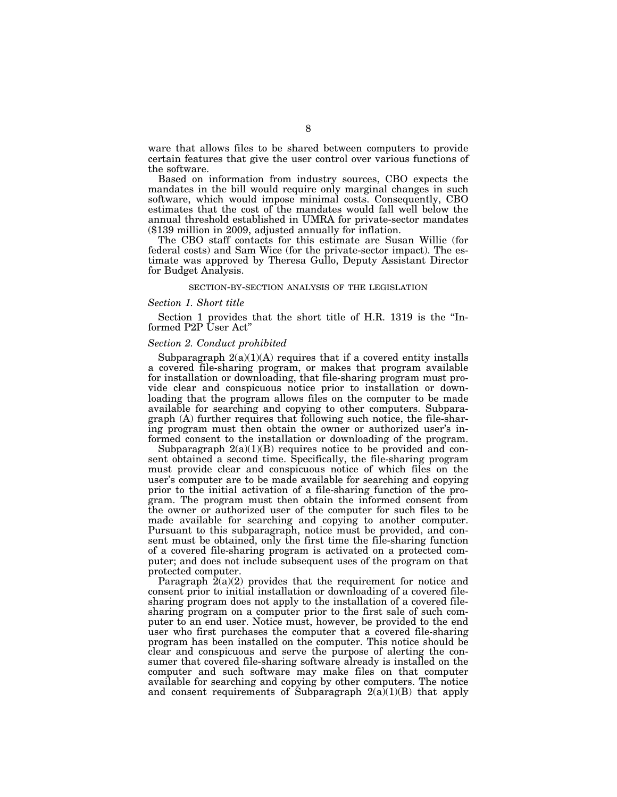ware that allows files to be shared between computers to provide certain features that give the user control over various functions of the software.

Based on information from industry sources, CBO expects the mandates in the bill would require only marginal changes in such software, which would impose minimal costs. Consequently, CBO estimates that the cost of the mandates would fall well below the annual threshold established in UMRA for private-sector mandates (\$139 million in 2009, adjusted annually for inflation.

The CBO staff contacts for this estimate are Susan Willie (for federal costs) and Sam Wice (for the private-sector impact). The estimate was approved by Theresa Gullo, Deputy Assistant Director for Budget Analysis.

### SECTION-BY-SECTION ANALYSIS OF THE LEGISLATION

# *Section 1. Short title*

Section 1 provides that the short title of H.R. 1319 is the ''Informed P2P User Act"

# *Section 2. Conduct prohibited*

Subparagraph  $2(a)(1)(A)$  requires that if a covered entity installs a covered file-sharing program, or makes that program available for installation or downloading, that file-sharing program must provide clear and conspicuous notice prior to installation or downloading that the program allows files on the computer to be made available for searching and copying to other computers. Subparagraph (A) further requires that following such notice, the file-sharing program must then obtain the owner or authorized user's informed consent to the installation or downloading of the program.

Subparagraph  $2(a)(1)(B)$  requires notice to be provided and consent obtained a second time. Specifically, the file-sharing program must provide clear and conspicuous notice of which files on the user's computer are to be made available for searching and copying prior to the initial activation of a file-sharing function of the program. The program must then obtain the informed consent from the owner or authorized user of the computer for such files to be made available for searching and copying to another computer. Pursuant to this subparagraph, notice must be provided, and consent must be obtained, only the first time the file-sharing function of a covered file-sharing program is activated on a protected computer; and does not include subsequent uses of the program on that protected computer.

Paragraph  $2(a)(2)$  provides that the requirement for notice and consent prior to initial installation or downloading of a covered filesharing program does not apply to the installation of a covered filesharing program on a computer prior to the first sale of such computer to an end user. Notice must, however, be provided to the end user who first purchases the computer that a covered file-sharing program has been installed on the computer. This notice should be clear and conspicuous and serve the purpose of alerting the consumer that covered file-sharing software already is installed on the computer and such software may make files on that computer available for searching and copying by other computers. The notice and consent requirements of Subparagraph  $2(a)(1)(B)$  that apply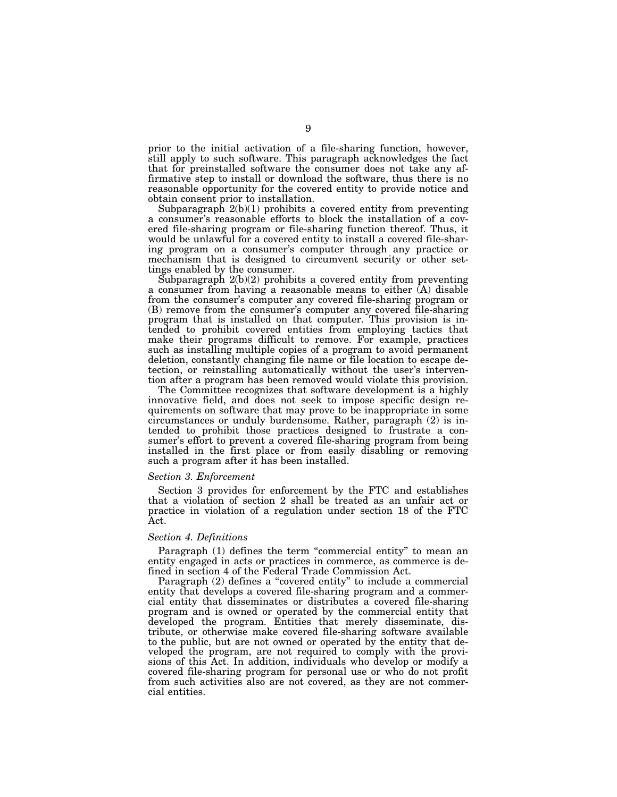prior to the initial activation of a file-sharing function, however, still apply to such software. This paragraph acknowledges the fact that for preinstalled software the consumer does not take any affirmative step to install or download the software, thus there is no reasonable opportunity for the covered entity to provide notice and obtain consent prior to installation.

Subparagraph  $2(b)(1)$  prohibits a covered entity from preventing a consumer's reasonable efforts to block the installation of a covered file-sharing program or file-sharing function thereof. Thus, it would be unlawful for a covered entity to install a covered file-sharing program on a consumer's computer through any practice or mechanism that is designed to circumvent security or other settings enabled by the consumer.

Subparagraph 2(b)(2) prohibits a covered entity from preventing a consumer from having a reasonable means to either  $(A)$  disable from the consumer's computer any covered file-sharing program or (B) remove from the consumer's computer any covered file-sharing program that is installed on that computer. This provision is intended to prohibit covered entities from employing tactics that make their programs difficult to remove. For example, practices such as installing multiple copies of a program to avoid permanent deletion, constantly changing file name or file location to escape detection, or reinstalling automatically without the user's intervention after a program has been removed would violate this provision.

The Committee recognizes that software development is a highly innovative field, and does not seek to impose specific design requirements on software that may prove to be inappropriate in some circumstances or unduly burdensome. Rather, paragraph (2) is intended to prohibit those practices designed to frustrate a consumer's effort to prevent a covered file-sharing program from being installed in the first place or from easily disabling or removing such a program after it has been installed.

# *Section 3. Enforcement*

Section 3 provides for enforcement by the FTC and establishes that a violation of section 2 shall be treated as an unfair act or practice in violation of a regulation under section 18 of the FTC Act.

# *Section 4. Definitions*

Paragraph (1) defines the term "commercial entity" to mean an entity engaged in acts or practices in commerce, as commerce is defined in section 4 of the Federal Trade Commission Act.

Paragraph (2) defines a "covered entity" to include a commercial entity that develops a covered file-sharing program and a commercial entity that disseminates or distributes a covered file-sharing program and is owned or operated by the commercial entity that developed the program. Entities that merely disseminate, distribute, or otherwise make covered file-sharing software available to the public, but are not owned or operated by the entity that developed the program, are not required to comply with the provisions of this Act. In addition, individuals who develop or modify a covered file-sharing program for personal use or who do not profit from such activities also are not covered, as they are not commercial entities.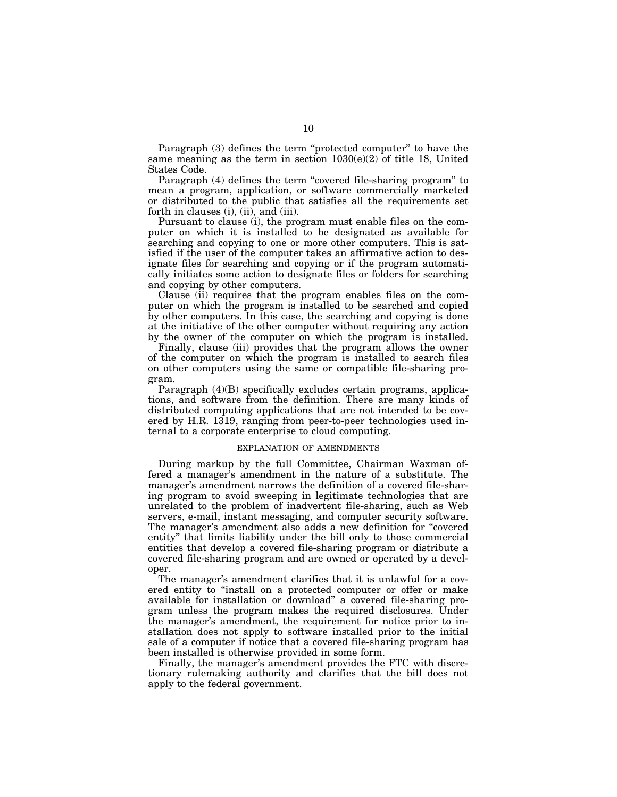Paragraph (3) defines the term "protected computer" to have the same meaning as the term in section  $1030(e)(2)$  of title 18, United States Code.

Paragraph (4) defines the term "covered file-sharing program" to mean a program, application, or software commercially marketed or distributed to the public that satisfies all the requirements set forth in clauses (i), (ii), and (iii).

Pursuant to clause (i), the program must enable files on the computer on which it is installed to be designated as available for searching and copying to one or more other computers. This is satisfied if the user of the computer takes an affirmative action to designate files for searching and copying or if the program automatically initiates some action to designate files or folders for searching and copying by other computers.

Clause (ii) requires that the program enables files on the computer on which the program is installed to be searched and copied by other computers. In this case, the searching and copying is done at the initiative of the other computer without requiring any action by the owner of the computer on which the program is installed.

Finally, clause (iii) provides that the program allows the owner of the computer on which the program is installed to search files on other computers using the same or compatible file-sharing program.

Paragraph (4)(B) specifically excludes certain programs, applications, and software from the definition. There are many kinds of distributed computing applications that are not intended to be covered by H.R. 1319, ranging from peer-to-peer technologies used internal to a corporate enterprise to cloud computing.

### EXPLANATION OF AMENDMENTS

During markup by the full Committee, Chairman Waxman offered a manager's amendment in the nature of a substitute. The manager's amendment narrows the definition of a covered file-sharing program to avoid sweeping in legitimate technologies that are unrelated to the problem of inadvertent file-sharing, such as Web servers, e-mail, instant messaging, and computer security software. The manager's amendment also adds a new definition for ''covered entity'' that limits liability under the bill only to those commercial entities that develop a covered file-sharing program or distribute a covered file-sharing program and are owned or operated by a developer.

The manager's amendment clarifies that it is unlawful for a covered entity to ''install on a protected computer or offer or make available for installation or download'' a covered file-sharing program unless the program makes the required disclosures. Under the manager's amendment, the requirement for notice prior to installation does not apply to software installed prior to the initial sale of a computer if notice that a covered file-sharing program has been installed is otherwise provided in some form.

Finally, the manager's amendment provides the FTC with discretionary rulemaking authority and clarifies that the bill does not apply to the federal government.